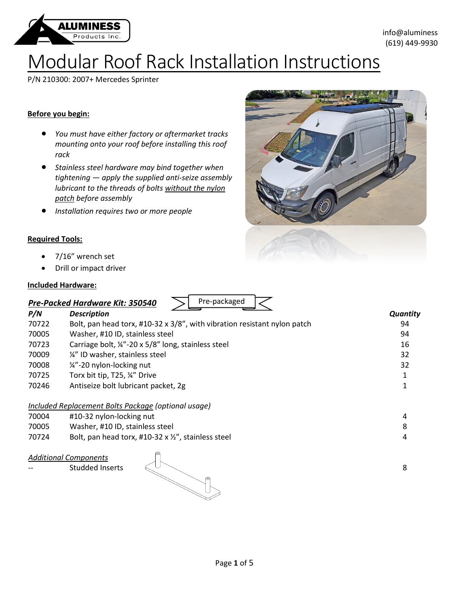

# Modular Roof Rack Installation Instructions

P/N 210300: 2007+ Mercedes Sprinter

### **Before you begin:**

- *You must have either factory or aftermarket tracks mounting onto your roof before installing this roof rack*
- *Stainless steel hardware may bind together when tightening — apply the supplied anti-seize assembly lubricant to the threads of bolts without the nylon patch before assembly*
- *Installation requires two or more people*

#### **Required Tools:**

- 7/16" wrench set
- Drill or impact driver

#### **Included Hardware:**

| Pre-packaged<br>Pre-Packed Hardware Kit: 350540 |                                                                          |                 |
|-------------------------------------------------|--------------------------------------------------------------------------|-----------------|
| P/N                                             | <b>Description</b>                                                       | <b>Quantity</b> |
| 70722                                           | Bolt, pan head torx, #10-32 x 3/8", with vibration resistant nylon patch | 94              |
| 70005                                           | Washer, #10 ID, stainless steel                                          | 94              |
| 70723                                           | Carriage bolt, 1/4"-20 x 5/8" long, stainless steel                      | 16              |
| 70009                                           | 1/4" ID washer, stainless steel                                          | 32              |
| 70008                                           | 1/4"-20 nylon-locking nut                                                | 32              |
| 70725                                           | Torx bit tip, T25, 1/4" Drive                                            |                 |
| 70246                                           | Antiseize bolt lubricant packet, 2g                                      |                 |
|                                                 | Included Replacement Bolts Package (optional usage)                      |                 |
| 70004                                           | #10-32 nylon-locking nut                                                 | 4               |
| 70005                                           | Washer, #10 ID, stainless steel                                          | 8               |
| 70724                                           | Bolt, pan head torx, #10-32 x $\frac{1}{2}$ , stainless steel            | 4               |
|                                                 | €                                                                        |                 |

# *Additional Components*

 $\mathsf{Student}$  inserts  $\mathbb{R}^{\cup}$  in the studded inserts and  $\mathsf{R}$ 

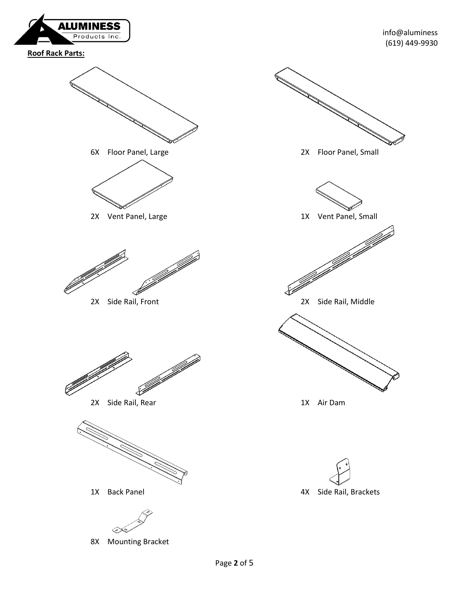

**Roof Rack Parts:**



8X Mounting Bracket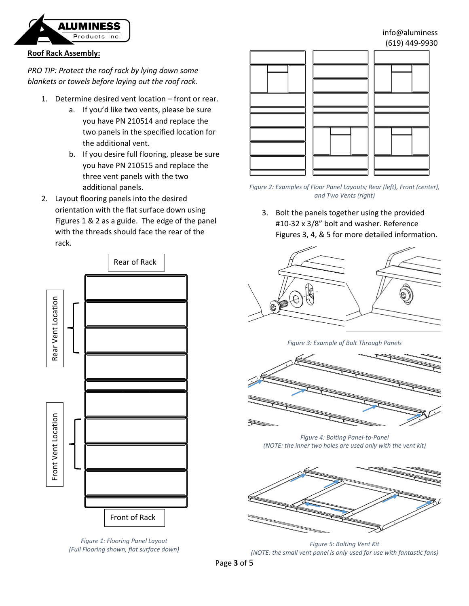

## info@aluminess (619) 449-9930

# **Roof Rack Assembly:**

*PRO TIP: Protect the roof rack by lying down some blankets or towels before laying out the roof rack.*

- 1. Determine desired vent location front or rear.
	- a. If you'd like two vents, please be sure you have PN 210514 and replace the two panels in the specified location for the additional vent.
	- b. If you desire full flooring, please be sure you have PN 210515 and replace the three vent panels with the two additional panels.
- 2. Layout flooring panels into the desired orientation with the flat surface down using Figures 1 & 2 as a guide. The edge of the panel with the threads should face the rear of the rack.



*Figure 1: Flooring Panel Layout (Full Flooring shown, flat surface down)*



*Figure 2: Examples of Floor Panel Layouts; Rear (left), Front (center), and Two Vents (right)*

3. Bolt the panels together using the provided #10-32 x 3/8" bolt and washer. Reference Figures 3, 4, & 5 for more detailed information.



*Figure 3: Example of Bolt Through Panels*



*Figure 4: Bolting Panel-to-Panel (NOTE: the inner two holes are used only with the vent kit)*



*Figure 5: Bolting Vent Kit (NOTE: the small vent panel is only used for use with fantastic fans)*

Page **3** of 5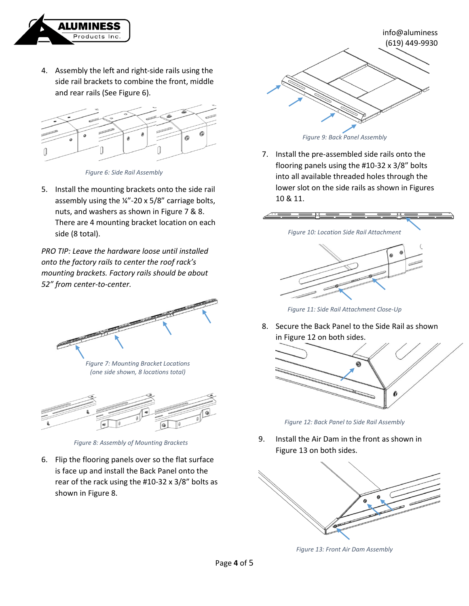

4. Assembly the left and right-side rails using the side rail brackets to combine the front, middle and rear rails (See Figure 6).



*Figure 6: Side Rail Assembly*

5. Install the mounting brackets onto the side rail assembly using the ¼"-20 x 5/8" carriage bolts, nuts, and washers as shown in Figure 7 & 8. There are 4 mounting bracket location on each side (8 total).

*PRO TIP: Leave the hardware loose until installed onto the factory rails to center the roof rack's mounting brackets. Factory rails should be about 52" from center-to-center.*



*Figure 7: Mounting Bracket Locations (one side shown, 8 locations total)*



*Figure 8: Assembly of Mounting Brackets*

6. Flip the flooring panels over so the flat surface is face up and install the Back Panel onto the rear of the rack using the #10-32 x 3/8" bolts as shown in Figure 8.



*Figure 9: Back Panel Assembly*

7. Install the pre-assembled side rails onto the flooring panels using the #10-32 x 3/8" bolts into all available threaded holes through the lower slot on the side rails as shown in Figures 10 & 11.



*Figure 11: Side Rail Attachment Close-Up*

8. Secure the Back Panel to the Side Rail as shown in Figure 12 on both sides.



*Figure 12: Back Panel to Side Rail Assembly*

9. Install the Air Dam in the front as shown in Figure 13 on both sides.



*Figure 13: Front Air Dam Assembly*